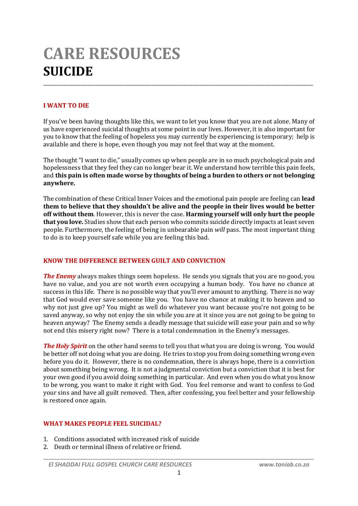# **CARE RESOURCES SUICIDE** \_\_\_\_\_\_\_\_\_\_\_\_\_\_\_\_\_\_\_\_\_\_\_\_\_\_\_\_\_\_\_\_\_\_\_\_\_\_\_\_\_\_\_\_\_\_\_\_\_\_\_\_\_\_\_\_\_\_\_\_\_\_\_\_\_\_\_\_\_\_\_\_\_\_\_\_\_\_\_\_\_\_\_\_\_\_\_\_\_\_\_\_\_\_\_\_\_\_\_\_\_\_\_\_\_\_\_\_\_\_

# **I WANT TO DIE**

If you've been having thoughts like this, we want to let you know that you are not alone. Many of us have experienced suicidal thoughts at some point in our lives. However, it is also important for you to know that the feeling of hopeless you may currently be experiencing is temporary; help is available and there is hope, even though you may not feel that way at the moment.

The thought "I want to die," usually comes up when people are in so much psychological pain and hopelessness that they feel they can no longer bear it. We understand how terrible this pain feels, and **this pain is often made worse by thoughts of being a burden to others or not belonging anywhere.**

The combination of these Critical Inner Voices and the emotional pain people are feeling can **lead them to believe that they shouldn't be alive and the people in their lives would be better off without them**. However, this is never the case. **Harming yourself will only hurt the people that you love.** Studies show that each person who commits suicide directly impacts at least seven people. Furthermore, the feeling of being in unbearable pain *will* pass. The most important thing to do is to keep yourself safe while you are feeling this bad.

### **KNOW THE DIFFERENCE BETWEEN GUILT AND CONVICTION**

*The Enemy* always makes things seem hopeless. He sends you signals that you are no good, you have no value, and you are not worth even occupying a human body. You have no chance at success in this life. There is no possible way that you'll ever amount to anything. There is no way that God would ever save someone like you. You have no chance at making it to heaven and so why not just give up? You might as well do whatever you want because you're not going to be saved anyway, so why not enjoy the sin while you are at it since you are not going to be going to heaven anyway? The Enemy sends a deadly message that suicide will ease your pain and so why not end this misery right now? There is a total condemnation in the Enemy's messages.

*The Holy Spirit* on the other hand seems to tell you that what you are doing is wrong. You would be better off not doing what you are doing. He tries to stop you from doing something wrong even before you do it. However, there is no condemnation, there is always hope, there is a conviction about something being wrong. It is not a judgmental conviction but a conviction that it is best for your own good if you avoid doing something in particular. And even when you do what you know to be wrong, you want to make it right with God. You feel remorse and want to confess to God your sins and have all guilt removed. Then, after confessing, you feel better and your fellowship is restored once again.

### **WHAT MAKES PEOPLE FEEL SUICIDAL?**

- 1. Conditions associated with increased risk of suicide
- 2. Death or terminal illness of relative or friend.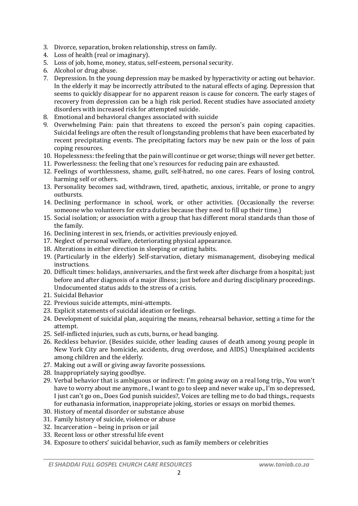- 3. Divorce, separation, broken relationship, stress on family.
- 4. Loss of health (real or imaginary).
- 5. Loss of job, home, money, status, self-esteem, personal security.
- 6. Alcohol or drug abuse.
- 7. Depression. In the young depression may be masked by hyperactivity or acting out behavior. In the elderly it may be incorrectly attributed to the natural effects of aging. Depression that seems to quickly disappear for no apparent reason is cause for concern. The early stages of recovery from depression can be a high risk period. Recent studies have associated anxiety disorders with increased risk for attempted suicide.
- 8. Emotional and behavioral changes associated with suicide
- 9. Overwhelming Pain: pain that threatens to exceed the person's pain coping capacities. Suicidal feelings are often the result of longstanding problems that have been exacerbated by recent precipitating events. The precipitating factors may be new pain or the loss of pain coping resources.
- 10. Hopelessness: the feeling that the pain will continue or get worse; things will never get better.
- 11. Powerlessness: the feeling that one's resources for reducing pain are exhausted.
- 12. Feelings of worthlessness, shame, guilt, self-hatred, no one cares. Fears of losing control, harming self or others.
- 13. Personality becomes sad, withdrawn, tired, apathetic, anxious, irritable, or prone to angry outbursts.
- 14. Declining performance in school, work, or other activities. (Occasionally the reverse: someone who volunteers for extra duties because they need to fill up their time.)
- 15. Social isolation; or association with a group that has different moral standards than those of the family.
- 16. Declining interest in sex, friends, or activities previously enjoyed.
- 17. Neglect of personal welfare, deteriorating physical appearance.
- 18. Alterations in either direction in sleeping or eating habits.
- 19. (Particularly in the elderly) Self-starvation, dietary mismanagement, disobeying medical instructions.
- 20. Difficult times: holidays, anniversaries, and the first week after discharge from a hospital; just before and after diagnosis of a major illness; just before and during disciplinary proceedings. Undocumented status adds to the stress of a crisis.
- 21. Suicidal Behavior
- 22. Previous suicide attempts, mini-attempts.
- 23. Explicit statements of suicidal ideation or feelings.
- 24. Development of suicidal plan, acquiring the means, rehearsal behavior, setting a time for the attempt.
- 25. Self-inflicted injuries, such as cuts, burns, or head banging.
- 26. Reckless behavior. (Besides suicide, other leading causes of death among young people in New York City are homicide, accidents, drug overdose, and AIDS.) Unexplained accidents among children and the elderly.
- 27. Making out a will or giving away favorite possessions.
- 28. Inappropriately saying goodbye.
- 29. Verbal behavior that is ambiguous or indirect: I'm going away on a real long trip., You won't have to worry about me anymore., I want to go to sleep and never wake up., I'm so depressed, I just can't go on., Does God punish suicides?, Voices are telling me to do bad things., requests for euthanasia information, inappropriate joking, stories or essays on morbid themes.
- 30. History of mental disorder or substance abuse
- 31. Family history of suicide, violence or abuse
- 32. Incarceration being in prison or jail
- 33. Recent loss or other stressful life event
- 34. Exposure to others' suicidal behavior, such as family members or celebrities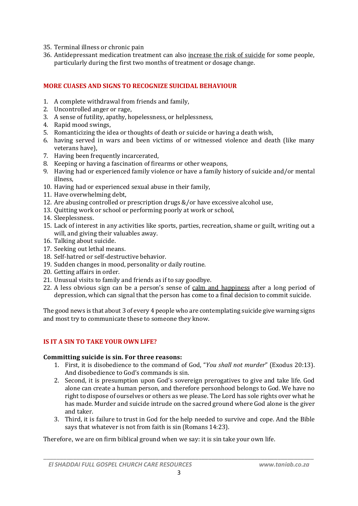- 35. Terminal illness or chronic pain
- 36. Antidepressant medication treatment can also increase the risk of suicide for some people, particularly during the first two months of treatment or dosage change.

### **MORE CUASES AND SIGNS TO RECOGNIZE SUICIDAL BEHAVIOUR**

- 1. A complete withdrawal from friends and family,
- 2. Uncontrolled anger or rage,
- 3. A sense of futility, apathy, hopelessness, or helplessness,
- 4. Rapid mood swings,
- 5. Romanticizing the idea or thoughts of death or suicide or having a death wish,
- 6. having served in wars and been victims of or witnessed violence and death (like many veterans have),
- 7. Having been frequently incarcerated,
- 8. Keeping or having a fascination of firearms or other weapons,
- 9. Having had or experienced family violence or have a family history of suicide and/or mental illness,
- 10. Having had or experienced sexual abuse in their family,
- 11. Have overwhelming debt,
- 12. Are abusing controlled or prescription drugs &/or have excessive alcohol use,
- 13. Quitting work or school or performing poorly at work or school,
- 14. Sleeplessness.
- 15. Lack of interest in any activities like sports, parties, recreation, shame or guilt, writing out a will, and giving their valuables away.
- 16. Talking about suicide.
- 17. Seeking out lethal means.
- 18. Self-hatred or self-destructive behavior.
- 19. Sudden changes in mood, personality or daily routine.
- 20. Getting affairs in order.
- 21. Unusual visits to family and friends as if to say goodbye.
- 22. A less obvious sign can be a person's sense of calm and happiness after a long period of depression, which can signal that the person has come to a final decision to commit suicide.

The good news is that about 3 of every 4 people who are contemplating suicide give warning signs and most try to communicate these to someone they know.

### **IS IT A SIN TO TAKE YOUR OWN LIFE?**

#### **Committing suicide is sin. For three reasons:**

- 1. First, it is disobedience to the command of God, "*You shall not murder*" (Exodus 20:13). And disobedience to God's commands is sin.
- 2. Second, it is presumption upon God's sovereign prerogatives to give and take life. God alone can create a human person, and therefore personhood belongs to God. We have no right to dispose of ourselves or others as we please. The Lord has sole rights over what he has made. Murder and suicide intrude on the sacred ground where God alone is the giver and taker.
- 3. Third, it is failure to trust in God for the help needed to survive and cope. And the Bible says that whatever is not from faith is sin (Romans 14:23).

Therefore, we are on firm biblical ground when we say: it is sin take your own life.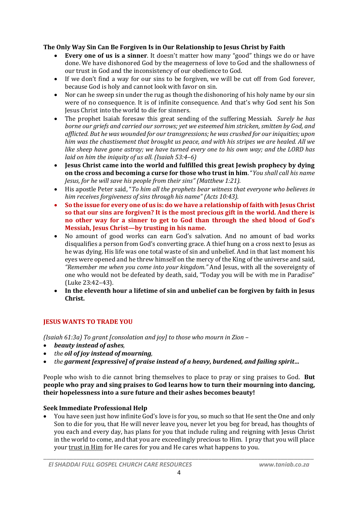### **The Only Way Sin Can Be Forgiven Is in Our Relationship to Jesus Christ by Faith**

- **Every one of us is a sinner**. It doesn't matter how many "good" things we do or have done. We have dishonored God by the meagerness of love to God and the shallowness of our trust in God and the inconsistency of our obedience to God.
- If we don't find a way for our sins to be forgiven, we will be cut off from God forever, because God is holy and cannot look with favor on sin.
- Nor can he sweep sin under the rug as though the dishonoring of his holy name by our sin were of no consequence. It is of infinite consequence. And that's why God sent his Son Jesus Christ into the world to die for sinners.
- The prophet Isaiah foresaw this great sending of the suffering Messiah. *Surely he has borne our griefs and carried our sorrows; yet we esteemed him stricken, smitten by God, and afflicted. But he was wounded for our transgressions; he was crushed for our iniquities; upon him was the chastisement that brought us peace, and with his stripes we are healed. All we like sheep have gone astray; we have turned every one to his own way; and the LORD has laid on him the iniquity of us all. (Isaiah 53:4–6)*
- **Jesus Christ came into the world and fulfilled this great Jewish prophecy by dying on the cross and becoming a curse for those who trust in him**. "*You shall call his name Jesus, for he will save his people from their sins" (Matthew 1:21).*
- His apostle Peter said, "*To him all the prophets bear witness that everyone who believes in him receives forgiveness of sins through his name" (Acts 10:43)*.
- **So the issue for every one of us is: do we have a relationship of faith with Jesus Christ so that our sins are forgiven? It is the most precious gift in the world. And there is no other way for a sinner to get to God than through the shed blood of God's Messiah, Jesus Christ—by trusting in his name.**
- No amount of good works can earn God's salvation. And no amount of bad works disqualifies a person from God's converting grace. A thief hung on a cross next to Jesus as he was dying. His life was one total waste of sin and unbelief. And in that last moment his eyes were opened and he threw himself on the mercy of the King of the universe and said, *"Remember me when you come into your kingdom."* And Jesus, with all the sovereignty of one who would not be defeated by death, said, "Today you will be with me in Paradise" (Luke 23:42–43).
- **In the eleventh hour a lifetime of sin and unbelief can be forgiven by faith in Jesus Christ.**

# **JESUS WANTS TO TRADE YOU**

*(Isaiah 61:3a) To grant [consolation and joy] to those who mourn in Zion –*

- *beauty instead of ashes,*
- *the oil of joy instead of mourning,*
- *the garment [expressive] of praise instead of a heavy, burdened, and failing spirit…*

People who wish to die cannot bring themselves to place to pray or sing praises to God. **But people who pray and sing praises to God learns how to turn their mourning into dancing, their hopelessness into a sure future and their ashes becomes beauty!**

### **Seek Immediate Professional Help**

 You have seen just how infinite God's love is for you, so much so that He sent the One and only Son to die for you, that He will never leave you, never let you beg for bread, has thoughts of you each and every day, has plans for you that include ruling and reigning with Jesus Christ in the world to come, and that you are exceedingly precious to Him. I pray that you will place your trust in Him for He cares for you and He cares what happens to you.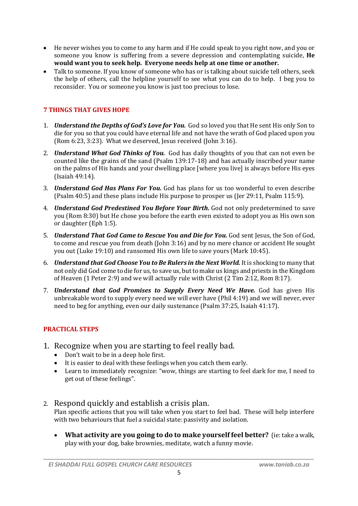- He never wishes you to come to any harm and if He could speak to you right now, and you or someone you know is suffering from a severe depression and contemplating suicide, **He would want you to seek help. Everyone needs help at one time or another.**
- Talk to someone. If you know of someone who has or is talking about suicide tell others, seek the help of others, call the helpline yourself to see what you can do to help. I beg you to reconsider. You or someone you know is just too precious to lose.

# **7 THINGS THAT GIVES HOPE**

- 1. *Understand the Depths of God's Love for You.* God so loved you that He sent His only Son to die for you so that you could have eternal life and not have the wrath of God placed upon you (Rom 6:23, 3:23). What we deserved, Jesus received (John 3:16).
- 2. *Understand What God Thinks of You.* God has daily thoughts of you that can not even be counted like the grains of the sand (Psalm 139:17-18) and has actually inscribed your name on the palms of His hands and your dwelling place [where you live] is always before His eyes (Isaiah 49:14).
- 3. *Understand God Has Plans For You.* God has plans for us too wonderful to even describe (Psalm 40:5) and these plans include His purpose to prosper us (Jer 29:11, Psalm 115:9).
- 4. *Understand God Predestined You Before Your Birth.* God not only predetermined to save you (Rom 8:30) but He chose you before the earth even existed to adopt you as His own son or daughter (Eph 1:5).
- 5. *Understand That God Came to Rescue You and Die for You.* God sent Jesus, the Son of God, to come and rescue you from death (John 3:16) and by no mere chance or accident He sought you out (Luke 19:10) and ransomed His own life to save yours (Mark 10:45).
- 6. *Understand that God Choose You to Be Rulers in the Next World.* It is shocking to many that not only did God come to die for us, to save us, but to make us kings and priests in the Kingdom of Heaven (1 Peter 2:9) and we will actually rule with Christ (2 Tim 2:12, Rom 8:17).
- 7. *Understand that God Promises to Supply Every Need We Have.* God has given His unbreakable word to supply every need we will ever have (Phil 4:19) and we will never, ever need to beg for anything, even our daily sustenance (Psalm 37:25, Isaiah 41:17).

# **PRACTICAL STEPS**

- 1. Recognize when you are starting to feel really bad.
	- Don't wait to be in a deep hole first.
	- It is easier to deal with these feelings when you catch them early.
	- Learn to immediately recognize: "wow, things are starting to feel dark for me, I need to get out of these feelings".
- 2. Respond quickly and establish a crisis plan.

Plan specific actions that you will take when you start to feel bad. These will help interfere with two behaviours that fuel a suicidal state: passivity and isolation.

 **What activity are you going to do to make yourself feel better?** (ie: take a walk, play with your dog, bake brownies, meditate, watch a funny movie.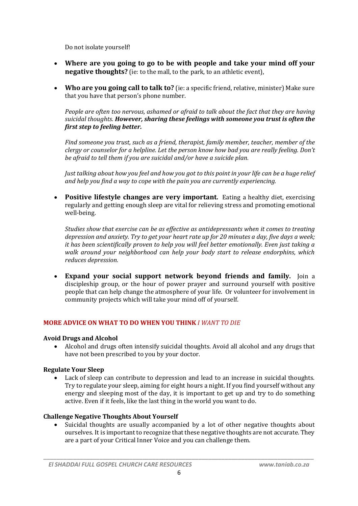Do not isolate yourself!

- **Where are you going to go to be with people and take your mind off your negative thoughts?** (ie: to the mall, to the park, to an athletic event).
- **Who are you going call to talk to?** (ie: a specific friend, relative, minister) Make sure that you have that person's phone number.

*People are often too nervous, ashamed or afraid to talk about the fact that they are having suicidal thoughts. However, sharing these feelings with someone you trust is often the first step to feeling better.*

*Find someone you trust, such as a friend, therapist, family member, teacher, member of the clergy or counselor for a helpline. Let the person know how bad you are really feeling. Don't be afraid to tell them if you are suicidal and/or have a suicide plan.*

*Just talking about how you feel and how you got to this point in your life can be a huge relief and help you find a way to cope with the pain you are currently experiencing.*

 **Positive lifestyle changes are very important.** Eating a healthy diet, exercising regularly and getting enough sleep are vital for relieving stress and promoting emotional well-being.

*Studies show that exercise can be as effective as antidepressants when it comes to treating depression and anxiety. Try to get your heart rate up for 20 minutes a day, five days a week; it has been scientifically proven to help you will feel better emotionally. Even just taking a walk around your neighborhood can help your body start to release endorphins, which reduces depression.*

 **Expand your social support network beyond friends and family.** Join a discipleship group, or the hour of power prayer and surround yourself with positive people that can help change the atmosphere of your life. Or volunteer for involvement in community projects which will take your mind off of yourself.

### **MORE ADVICE ON WHAT TO DO WHEN YOU THINK** *I WANT TO DIE*

#### **Avoid Drugs and Alcohol**

 Alcohol and drugs often intensify suicidal thoughts. Avoid all alcohol and any drugs that have not been prescribed to you by your doctor.

### **Regulate Your Sleep**

 Lack of sleep can contribute to depression and lead to an increase in suicidal thoughts. Try to regulate your sleep, aiming for eight hours a night. If you find yourself without any energy and sleeping most of the day, it is important to get up and try to do something active. Even if it feels, like the last thing in the world you want to do.

### **Challenge Negative Thoughts About Yourself**

 Suicidal thoughts are usually accompanied by a lot of other negative thoughts about ourselves. It is important to recognize that these negative thoughts are not accurate. They are a part of your Critical Inner Voice and you can challenge them.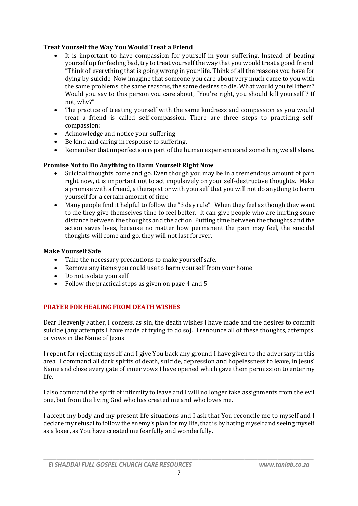### **Treat Yourself the Way You Would Treat a Friend**

- It is important to have compassion for yourself in your suffering. Instead of beating yourself up for feeling bad, try to treat yourself the way that you would treat a good friend. "Think of everything that is going wrong in your life. Think of all the reasons you have for dying by suicide. Now imagine that someone you care about very much came to you with the same problems, the same reasons, the same desires to die. What would you tell them? Would you say to this person you care about, "You're right, you should kill yourself"? If not, why?"
- The practice of treating yourself with the same kindness and compassion as you would treat a friend is called self-compassion. There are three steps to practicing selfcompassion:
- Acknowledge and notice your suffering.
- Be kind and caring in response to suffering.
- Remember that imperfection is part of the human experience and something we all share.

### **Promise Not to Do Anything to Harm Yourself Right Now**

- Suicidal thoughts come and go. Even though you may be in a tremendous amount of pain right now, it is important not to act impulsively on your self-destructive thoughts. Make a promise with a friend, a therapist or with yourself that you will not do anything to harm yourself for a certain amount of time.
- Many people find it helpful to follow the "3 day rule". When they feel as though they want to die they give themselves time to feel better. It can give people who are hurting some distance between the thoughts and the action. Putting time between the thoughts and the action saves lives, because no matter how permanent the pain may feel, the suicidal thoughts will come and go, they will not last forever.

#### **Make Yourself Safe**

- Take the necessary precautions to make yourself safe.
- Remove any items you could use to harm yourself from your home.
- Do not isolate yourself.
- Follow the practical steps as given on page 4 and 5.

#### **PRAYER FOR HEALING FROM DEATH WISHES**

Dear Heavenly Father, I confess, as sin, the death wishes I have made and the desires to commit suicide (any attempts I have made at trying to do so). I renounce all of these thoughts, attempts, or vows in the Name of Jesus.

I repent for rejecting myself and I give You back any ground I have given to the adversary in this area. I command all dark spirits of death, suicide, depression and hopelessness to leave, in Jesus' Name and close every gate of inner vows I have opened which gave them permission to enter my life.

I also command the spirit of infirmity to leave and I will no longer take assignments from the evil one, but from the living God who has created me and who loves me.

I accept my body and my present life situations and I ask that You reconcile me to myself and I declare my refusal to follow the enemy's plan for my life, that is by hating myself and seeing myself as a loser, as You have created me fearfully and wonderfully.